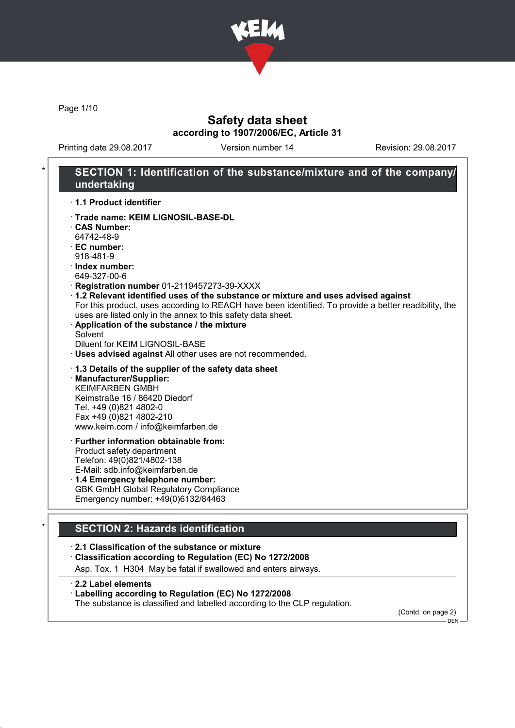

Page 1/10

## Safety data sheet according to 1907/2006/EC, Article 31

Printing date 29.08.2017 Version number 14 Revision: 29.08.2017

### SECTION 1: Identification of the substance/mixture and of the company/ undertaking · 1.1 Product identifier · Trade name: KEIM LIGNOSIL-BASE-DL · CAS Number: 64742-48-9 · EC number: 918-481-9 · Index number: 649-327-00-6 · Registration number 01-2119457273-39-XXXX · 1.2 Relevant identified uses of the substance or mixture and uses advised against For this product, uses according to REACH have been identified. To provide a better readibility, the uses are listed only in the annex to this safety data sheet. · Application of the substance / the mixture **Solvent** Diluent for KEIM LIGNOSIL-BASE · Uses advised against All other uses are not recommended. · 1.3 Details of the supplier of the safety data sheet · Manufacturer/Supplier: KEIMFARBEN GMBH Keimstraße 16 / 86420 Diedorf Tel. +49 (0)821 4802-0 Fax +49 (0)821 4802-210 www.keim.com / info@keimfarben.de · Further information obtainable from: Product safety department Telefon: 49(0)821/4802-138 E-Mail: sdb.info@keimfarben.de · 1.4 Emergency telephone number: GBK GmbH Global Regulatory Compliance Emergency number: +49(0)6132/84463 **SECTION 2: Hazards identification** · 2.1 Classification of the substance or mixture · Classification according to Regulation (EC) No 1272/2008

Asp. Tox. 1 H304 May be fatal if swallowed and enters airways.

· 2.2 Label elements

· Labelling according to Regulation (EC) No 1272/2008

The substance is classified and labelled according to the CLP regulation.

(Contd. on page 2) DEN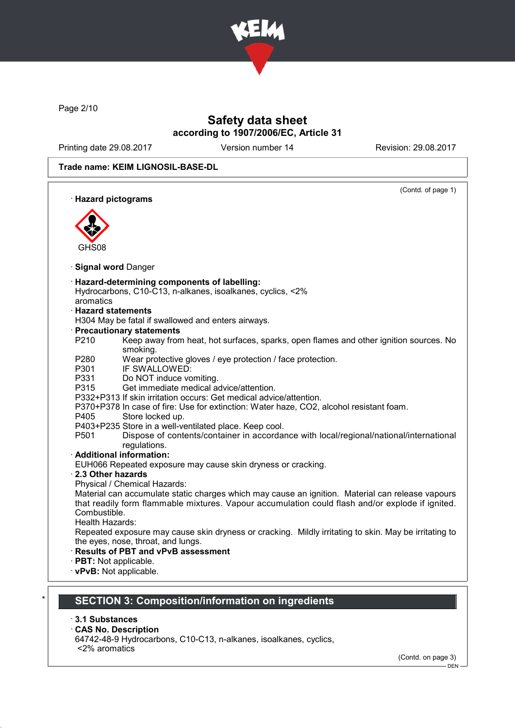

Page 2/10

# Safety data sheet according to 1907/2006/EC, Article 31

Printing date 29.08.2017 Version number 14 Revision: 29.08.2017

#### Trade name: KEIM LIGNOSIL-BASE-DL

| · Hazard pictograms       | (Contd. of page 1)                                                                                                                          |
|---------------------------|---------------------------------------------------------------------------------------------------------------------------------------------|
|                           |                                                                                                                                             |
|                           |                                                                                                                                             |
|                           |                                                                                                                                             |
|                           |                                                                                                                                             |
| GHS08                     |                                                                                                                                             |
| <b>Signal word Danger</b> |                                                                                                                                             |
|                           | · Hazard-determining components of labelling:                                                                                               |
|                           | Hydrocarbons, C10-C13, n-alkanes, isoalkanes, cyclics, <2%                                                                                  |
| aromatics                 |                                                                                                                                             |
| $\cdot$ Hazard statements |                                                                                                                                             |
|                           | H304 May be fatal if swallowed and enters airways.                                                                                          |
|                           | · Precautionary statements                                                                                                                  |
| P210                      | Keep away from heat, hot surfaces, sparks, open flames and other ignition sources. No                                                       |
|                           | smoking.                                                                                                                                    |
| P280                      | Wear protective gloves / eye protection / face protection.                                                                                  |
| P301                      | IF SWALLOWED:                                                                                                                               |
| P331                      | Do NOT induce vomiting.                                                                                                                     |
| P315                      | Get immediate medical advice/attention.                                                                                                     |
|                           | P332+P313 If skin irritation occurs: Get medical advice/attention.                                                                          |
|                           | P370+P378 In case of fire: Use for extinction: Water haze, CO2, alcohol resistant foam.                                                     |
| P405                      | Store locked up.                                                                                                                            |
|                           | P403+P235 Store in a well-ventilated place. Keep cool.                                                                                      |
| P <sub>501</sub>          | Dispose of contents/container in accordance with local/regional/national/international<br>regulations.                                      |
|                           | · Additional information:                                                                                                                   |
|                           | EUH066 Repeated exposure may cause skin dryness or cracking.                                                                                |
| 2.3 Other hazards         |                                                                                                                                             |
|                           | Physical / Chemical Hazards:                                                                                                                |
|                           | Material can accumulate static charges which may cause an ignition. Material can release vapours                                            |
|                           | that readily form flammable mixtures. Vapour accumulation could flash and/or explode if ignited.                                            |
| Combustible.              |                                                                                                                                             |
| Health Hazards:           |                                                                                                                                             |
|                           | Repeated exposure may cause skin dryness or cracking. Mildly irritating to skin. May be irritating to<br>the eyes, nose, throat, and lungs. |
|                           | <b>Results of PBT and vPvB assessment</b>                                                                                                   |
| · PBT: Not applicable.    |                                                                                                                                             |
| · vPvB: Not applicable.   |                                                                                                                                             |
|                           |                                                                                                                                             |

### · 3.1 Substances

#### · CAS No. Description

64742-48-9 Hydrocarbons, C10-C13, n-alkanes, isoalkanes, cyclics, <2% aromatics

(Contd. on page 3)

 $-$  DEN -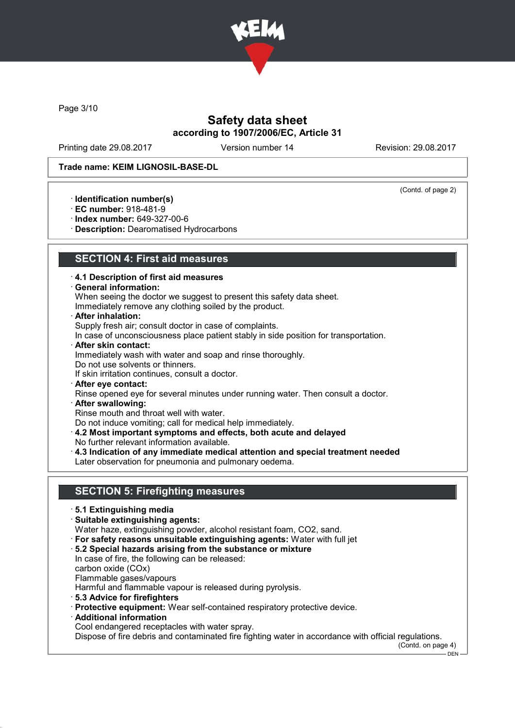

Page 3/10

## Safety data sheet according to 1907/2006/EC, Article 31

Printing date 29.08.2017 Version number 14 Revision: 29.08.2017

(Contd. of page 2)

#### Trade name: KEIM LIGNOSIL-BASE-DL

· Identification number(s)

- · EC number: 918-481-9
- · Index number: 649-327-00-6
- · Description: Dearomatised Hydrocarbons

### SECTION 4: First aid measures

- · 4.1 Description of first aid measures
- · General information:
- When seeing the doctor we suggest to present this safety data sheet.
- Immediately remove any clothing soiled by the product.
- · After inhalation:
- Supply fresh air; consult doctor in case of complaints.
- In case of unconsciousness place patient stably in side position for transportation.
- · After skin contact:
- Immediately wash with water and soap and rinse thoroughly.
- Do not use solvents or thinners.
- If skin irritation continues, consult a doctor.
- · After eye contact: Rinse opened eye for several minutes under running water. Then consult a doctor.
- · After swallowing:
- Rinse mouth and throat well with water.
- Do not induce vomiting; call for medical help immediately.
- · 4.2 Most important symptoms and effects, both acute and delayed No further relevant information available.
- 
- · 4.3 Indication of any immediate medical attention and special treatment needed Later observation for pneumonia and pulmonary oedema.

## SECTION 5: Firefighting measures

- · 5.1 Extinguishing media
- · Suitable extinguishing agents:
- Water haze, extinguishing powder, alcohol resistant foam, CO2, sand.
- · For safety reasons unsuitable extinguishing agents: Water with full jet
- · 5.2 Special hazards arising from the substance or mixture In case of fire, the following can be released: carbon oxide (COx) Flammable gases/vapours Harmful and flammable vapour is released during pyrolysis. · 5.3 Advice for firefighters
- · Protective equipment: Wear self-contained respiratory protective device.
- · Additional information
	- Cool endangered receptacles with water spray.

Dispose of fire debris and contaminated fire fighting water in accordance with official regulations.

(Contd. on page 4)  $-$  DEN  $-$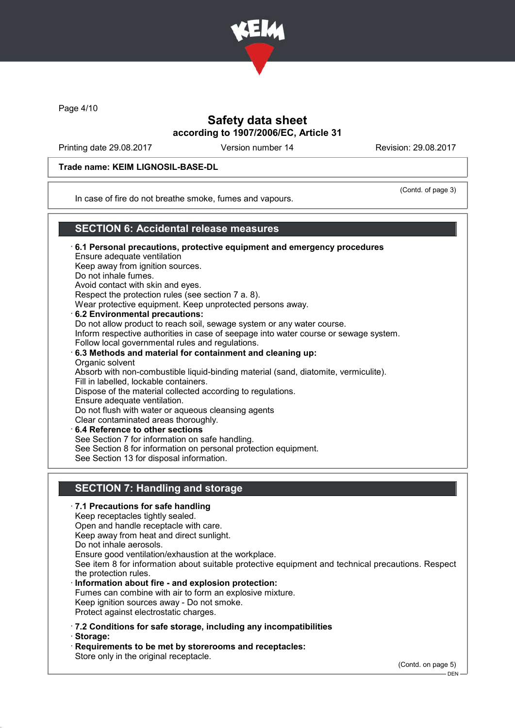

Page 4/10

## Safety data sheet according to 1907/2006/EC, Article 31

Printing date 29.08.2017 Version number 14 Revision: 29.08.2017

#### Trade name: KEIM LIGNOSIL-BASE-DL

(Contd. of page 3)

In case of fire do not breathe smoke, fumes and vapours.

### SECTION 6: Accidental release measures

· 6.1 Personal precautions, protective equipment and emergency procedures Ensure adequate ventilation Keep away from ignition sources. Do not inhale fumes. Avoid contact with skin and eyes. Respect the protection rules (see section 7 a. 8). Wear protective equipment. Keep unprotected persons away. 6.2 Environmental precautions: Do not allow product to reach soil, sewage system or any water course. Inform respective authorities in case of seepage into water course or sewage system. Follow local governmental rules and regulations. · 6.3 Methods and material for containment and cleaning up: Organic solvent Absorb with non-combustible liquid-binding material (sand, diatomite, vermiculite). Fill in labelled, lockable containers. Dispose of the material collected according to regulations. Ensure adequate ventilation. Do not flush with water or aqueous cleansing agents Clear contaminated areas thoroughly. 6.4 Reference to other sections See Section 7 for information on safe handling. See Section 8 for information on personal protection equipment. See Section 13 for disposal information.

## SECTION 7: Handling and storage

#### · 7.1 Precautions for safe handling

Keep receptacles tightly sealed.

Open and handle receptacle with care.

Keep away from heat and direct sunlight.

Do not inhale aerosols.

Ensure good ventilation/exhaustion at the workplace.

See item 8 for information about suitable protective equipment and technical precautions. Respect the protection rules.

- · Information about fire and explosion protection: Fumes can combine with air to form an explosive mixture. Keep ignition sources away - Do not smoke. Protect against electrostatic charges.
- · 7.2 Conditions for safe storage, including any incompatibilities
- · Storage: · Requirements to be met by storerooms and receptacles: Store only in the original receptacle.

(Contd. on page 5)

 $-$  DEN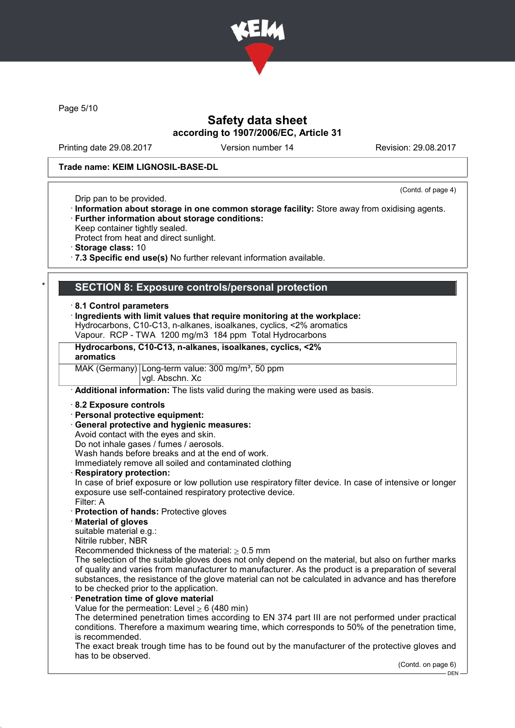

Page 5/10

## Safety data sheet according to 1907/2006/EC, Article 31

Printing date 29.08.2017 Version number 14 Revision: 29.08.2017

#### Trade name: KEIM LIGNOSIL-BASE-DL

(Contd. of page 4)

- Drip pan to be provided.
- · Information about storage in one common storage facility: Store away from oxidising agents. · Further information about storage conditions:
- Keep container tightly sealed.
- Protect from heat and direct sunlight.
- · Storage class: 10
- · 7.3 Specific end use(s) No further relevant information available.

#### SECTION 8: Exposure controls/personal protection

#### · 8.1 Control parameters

- · Ingredients with limit values that require monitoring at the workplace:
- Hydrocarbons, C10-C13, n-alkanes, isoalkanes, cyclics, <2% aromatics
- Vapour. RCP TWA 1200 mg/m3 184 ppm Total Hydrocarbons

### Hydrocarbons, C10-C13, n-alkanes, isoalkanes, cyclics, <2%

#### aromatics

MAK (Germany) Long-term value: 300 mg/m<sup>3</sup>, 50 ppm

# vgl. Abschn. Xc

· Additional information: The lists valid during the making were used as basis.

#### · 8.2 Exposure controls

- · Personal protective equipment:
- · General protective and hygienic measures:

Avoid contact with the eyes and skin.

Do not inhale gases / fumes / aerosols.

Wash hands before breaks and at the end of work.

Immediately remove all soiled and contaminated clothing

Respiratory protection:

In case of brief exposure or low pollution use respiratory filter device. In case of intensive or longer exposure use self-contained respiratory protective device. Filter: A

- · Protection of hands: Protective gloves
- · Material of gloves

suitable material e.g.:

Nitrile rubber, NBR

Recommended thickness of the material:  $\geq 0.5$  mm

The selection of the suitable gloves does not only depend on the material, but also on further marks of quality and varies from manufacturer to manufacturer. As the product is a preparation of several substances, the resistance of the glove material can not be calculated in advance and has therefore to be checked prior to the application.

#### Penetration time of glove material

Value for the permeation: Level  $\geq 6$  (480 min)

The determined penetration times according to EN 374 part III are not performed under practical conditions. Therefore a maximum wearing time, which corresponds to 50% of the penetration time, is recommended.

The exact break trough time has to be found out by the manufacturer of the protective gloves and has to be observed.

(Contd. on page 6)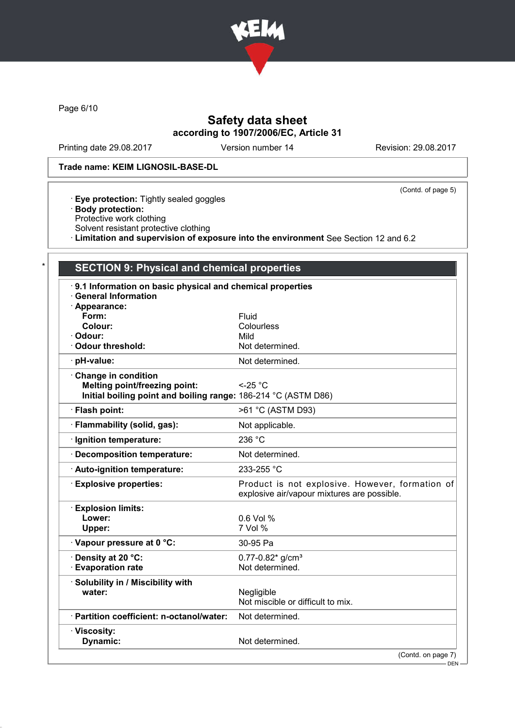

Page 6/10

# Safety data sheet according to 1907/2006/EC, Article 31

Printing date 29.08.2017 Version number 14 Revision: 29.08.2017

#### Trade name: KEIM LIGNOSIL-BASE-DL

(Contd. of page 5)

- · Eye protection: Tightly sealed goggles
- · Body protection:
- Protective work clothing
- Solvent resistant protective clothing
- · Limitation and supervision of exposure into the environment See Section 12 and 6.2

| 9.1 Information on basic physical and chemical properties      |                                                                                                |
|----------------------------------------------------------------|------------------------------------------------------------------------------------------------|
| <b>General Information</b><br>· Appearance:                    |                                                                                                |
| Form:                                                          | Fluid                                                                                          |
| Colour:                                                        | Colourless                                                                                     |
| · Odour:                                                       | Mild                                                                                           |
| Odour threshold:                                               | Not determined.                                                                                |
| · pH-value:                                                    | Not determined.                                                                                |
| Change in condition                                            |                                                                                                |
| <b>Melting point/freezing point:</b>                           | $<$ -25 °C                                                                                     |
| Initial boiling point and boiling range: 186-214 °C (ASTM D86) |                                                                                                |
| · Flash point:                                                 | >61 °C (ASTM D93)                                                                              |
| · Flammability (solid, gas):                                   | Not applicable.                                                                                |
| · Ignition temperature:                                        | 236 °C                                                                                         |
| · Decomposition temperature:                                   | Not determined.                                                                                |
| Auto-ignition temperature:                                     | 233-255 °C                                                                                     |
| <b>Explosive properties:</b>                                   | Product is not explosive. However, formation of<br>explosive air/vapour mixtures are possible. |
| <b>Explosion limits:</b>                                       |                                                                                                |
| Lower:                                                         | 0.6 Vol %                                                                                      |
| Upper:                                                         | 7 Vol %                                                                                        |
| · Vapour pressure at 0 °C:                                     | 30-95 Pa                                                                                       |
| Density at 20 °C:                                              | $0.77 - 0.82$ * g/cm <sup>3</sup>                                                              |
| <b>Evaporation rate</b>                                        | Not determined.                                                                                |
| · Solubility in / Miscibility with                             |                                                                                                |
| water:                                                         | Negligible                                                                                     |
|                                                                | Not miscible or difficult to mix.                                                              |
| · Partition coefficient: n-octanol/water:                      | Not determined.                                                                                |
| · Viscosity:                                                   |                                                                                                |
| Dynamic:                                                       | Not determined.                                                                                |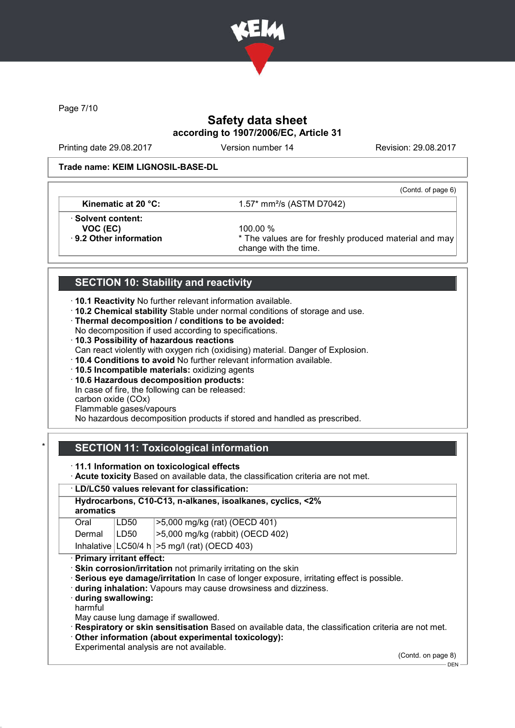

Page 7/10

# Safety data sheet according to 1907/2006/EC, Article 31

Printing date 29.08.2017 Version number 14 Revision: 29.08.2017

#### Trade name: KEIM LIGNOSIL-BASE-DL

(Contd. of page 6)

**Kinematic at 20 °C:**  $1.57*$  mm<sup>2</sup>/s (ASTM D7042)

· Solvent content:

**VOC (EC)** 100.00 %<br>**9.2 Other information**  $*$  The value

\* The values are for freshly produced material and may change with the time.

# SECTION 10: Stability and reactivity

· 10.1 Reactivity No further relevant information available.

· 10.2 Chemical stability Stable under normal conditions of storage and use.

· Thermal decomposition / conditions to be avoided:

No decomposition if used according to specifications.

· 10.3 Possibility of hazardous reactions

Can react violently with oxygen rich (oxidising) material. Danger of Explosion.

· 10.4 Conditions to avoid No further relevant information available.

· 10.5 Incompatible materials: oxidizing agents

· 10.6 Hazardous decomposition products: In case of fire, the following can be released: carbon oxide (COx) Flammable gases/vapours

No hazardous decomposition products if stored and handled as prescribed.

# SECTION 11: Toxicological information

· 11.1 Information on toxicological effects

· Acute toxicity Based on available data, the classification criteria are not met.

### · LD/LC50 values relevant for classification:

#### Hydrocarbons, C10-C13, n-alkanes, isoalkanes, cyclics, <2% aromatics  $\overline{1 \cdot \overline{D} = 0.00 \cdot \overline{D} = 0.00 \cdot \overline{D} = 0.00 \cdot \overline{D} = 0.000 \cdot \overline{D} = 0.000 \cdot \overline{D} = 0.000 \cdot \overline{D} = 0.000 \cdot \overline{D} = 0.000 \cdot \overline{D} = 0.000 \cdot \overline{D} = 0.000 \cdot \overline{D} = 0.000 \cdot \overline{D} = 0.000 \cdot \overline{D} = 0.000 \cdot \overline{D} = 0.000 \cdot \overline{D}$

| Vidi          | ∪טע∟⊦ | $\sim$ 3,000 mg/kg (iat) (OEGD 401)               |
|---------------|-------|---------------------------------------------------|
| Dermal   LD50 |       | $ >5,000$ mg/kg (rabbit) (OECD 402)               |
|               |       | Inhalative $ LC50/4 h  > 5$ mg/l (rat) (OECD 403) |

· Primary irritant effect:

· Skin corrosion/irritation not primarily irritating on the skin

· Serious eye damage/irritation In case of longer exposure, irritating effect is possible.

· during inhalation: Vapours may cause drowsiness and dizziness.

· during swallowing:

harmful

May cause lung damage if swallowed.

· Respiratory or skin sensitisation Based on available data, the classification criteria are not met.

· Other information (about experimental toxicology):

Experimental analysis are not available.

(Contd. on page 8)

 $-$  DEN -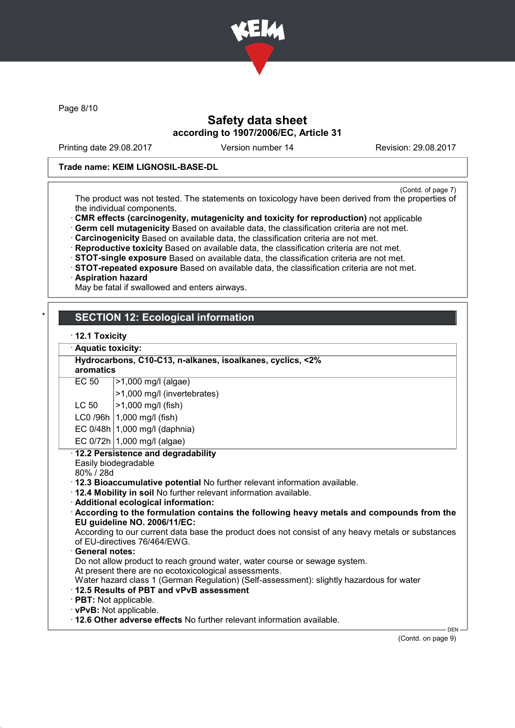

Page 8/10

## Safety data sheet according to 1907/2006/EC, Article 31

Printing date 29.08.2017 Version number 14 Revision: 29.08.2017

#### Trade name: KEIM LIGNOSIL-BASE-DL

(Contd. of page 7)

The product was not tested. The statements on toxicology have been derived from the properties of the individual components.

· CMR effects (carcinogenity, mutagenicity and toxicity for reproduction) not applicable

· Germ cell mutagenicity Based on available data, the classification criteria are not met.

· Carcinogenicity Based on available data, the classification criteria are not met.

· Reproductive toxicity Based on available data, the classification criteria are not met.

· STOT-single exposure Based on available data, the classification criteria are not met.

· STOT-repeated exposure Based on available data, the classification criteria are not met.

#### · Aspiration hazard

May be fatal if swallowed and enters airways.

## **SECTION 12: Ecological information**

## · 12.1 Toxicity

| · Aquatic toxicity:                                                              |                                                                                                                                                                                                                                                                                                                                                                                                                                                                                                                                                                                                                                                                                              |  |
|----------------------------------------------------------------------------------|----------------------------------------------------------------------------------------------------------------------------------------------------------------------------------------------------------------------------------------------------------------------------------------------------------------------------------------------------------------------------------------------------------------------------------------------------------------------------------------------------------------------------------------------------------------------------------------------------------------------------------------------------------------------------------------------|--|
| Hydrocarbons, C10-C13, n-alkanes, isoalkanes, cyclics, <2%<br>aromatics          |                                                                                                                                                                                                                                                                                                                                                                                                                                                                                                                                                                                                                                                                                              |  |
| EC 50                                                                            | $>1,000$ mg/l (algae)                                                                                                                                                                                                                                                                                                                                                                                                                                                                                                                                                                                                                                                                        |  |
|                                                                                  | >1,000 mg/l (invertebrates)                                                                                                                                                                                                                                                                                                                                                                                                                                                                                                                                                                                                                                                                  |  |
| LC 50                                                                            | >1,000 mg/l (fish)                                                                                                                                                                                                                                                                                                                                                                                                                                                                                                                                                                                                                                                                           |  |
|                                                                                  | $LCO$ /96h $ 1,000$ mg/l (fish)                                                                                                                                                                                                                                                                                                                                                                                                                                                                                                                                                                                                                                                              |  |
|                                                                                  | EC $0/48h$ 1,000 mg/l (daphnia)                                                                                                                                                                                                                                                                                                                                                                                                                                                                                                                                                                                                                                                              |  |
|                                                                                  | EC $0/72h$   1,000 mg/l (algae)                                                                                                                                                                                                                                                                                                                                                                                                                                                                                                                                                                                                                                                              |  |
| 80% / 28d<br>· General notes:<br>$\cdot$ 12.5 Results of PBT and vPvB assessment | · 12.3 Bioaccumulative potential No further relevant information available.<br>. 12.4 Mobility in soil No further relevant information available.<br>· Additional ecological information:<br>According to the formulation contains the following heavy metals and compounds from the<br>EU guideline NO. 2006/11/EC:<br>According to our current data base the product does not consist of any heavy metals or substances<br>of EU-directives 76/464/EWG.<br>Do not allow product to reach ground water, water course or sewage system.<br>At present there are no ecotoxicological assessments.<br>Water hazard class 1 (German Regulation) (Self-assessment): slightly hazardous for water |  |

· 12.6 Other adverse effects No further relevant information available.

(Contd. on page 9)

DEN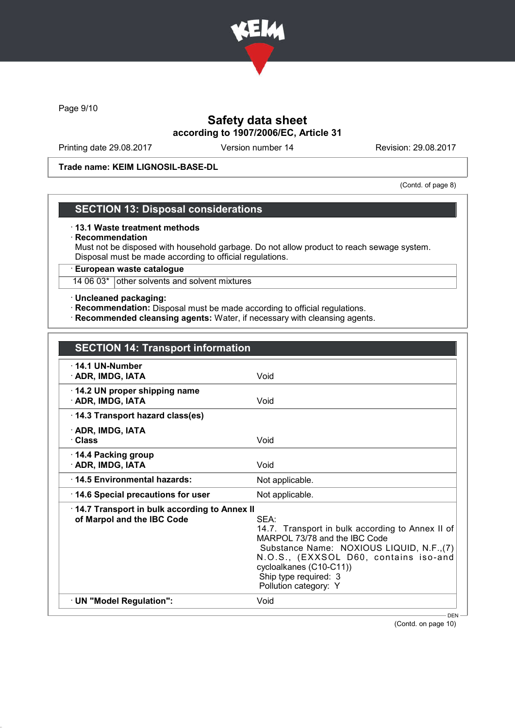

Page 9/10

## Safety data sheet according to 1907/2006/EC, Article 31

Printing date 29.08.2017 Version number 14 Revision: 29.08.2017

Trade name: KEIM LIGNOSIL-BASE-DL

(Contd. of page 8)

### SECTION 13: Disposal considerations

#### · 13.1 Waste treatment methods

#### · Recommendation

Must not be disposed with household garbage. Do not allow product to reach sewage system. Disposal must be made according to official regulations.

· European waste catalogue

14 06 03\* other solvents and solvent mixtures

#### · Uncleaned packaging:

- · Recommendation: Disposal must be made according to official regulations.
- · Recommended cleansing agents: Water, if necessary with cleansing agents.

| <b>SECTION 14: Transport information</b>                                   |                                                                                                                                                                                                                                                              |
|----------------------------------------------------------------------------|--------------------------------------------------------------------------------------------------------------------------------------------------------------------------------------------------------------------------------------------------------------|
| $\cdot$ 14.1 UN-Number<br>· ADR, IMDG, IATA                                | Void                                                                                                                                                                                                                                                         |
| 14.2 UN proper shipping name<br>· ADR, IMDG, IATA                          | Void                                                                                                                                                                                                                                                         |
| 14.3 Transport hazard class(es)                                            |                                                                                                                                                                                                                                                              |
| · ADR, IMDG, IATA<br>· Class                                               | Void                                                                                                                                                                                                                                                         |
| $\cdot$ 14.4 Packing group<br>· ADR, IMDG, IATA                            | Void                                                                                                                                                                                                                                                         |
| ⋅14.5 Environmental hazards:                                               | Not applicable.                                                                                                                                                                                                                                              |
| 14.6 Special precautions for user                                          | Not applicable.                                                                                                                                                                                                                                              |
| 14.7 Transport in bulk according to Annex II<br>of Marpol and the IBC Code | SEA:<br>14.7. Transport in bulk according to Annex II of<br>MARPOL 73/78 and the IBC Code<br>Substance Name: NOXIOUS LIQUID, N.F., (7)<br>N.O.S., (EXXSOL D60, contains iso-and<br>cycloalkanes (C10-C11))<br>Ship type required: 3<br>Pollution category: Y |
| · UN "Model Regulation":                                                   | Void                                                                                                                                                                                                                                                         |
|                                                                            | $DEN -$                                                                                                                                                                                                                                                      |

(Contd. on page 10)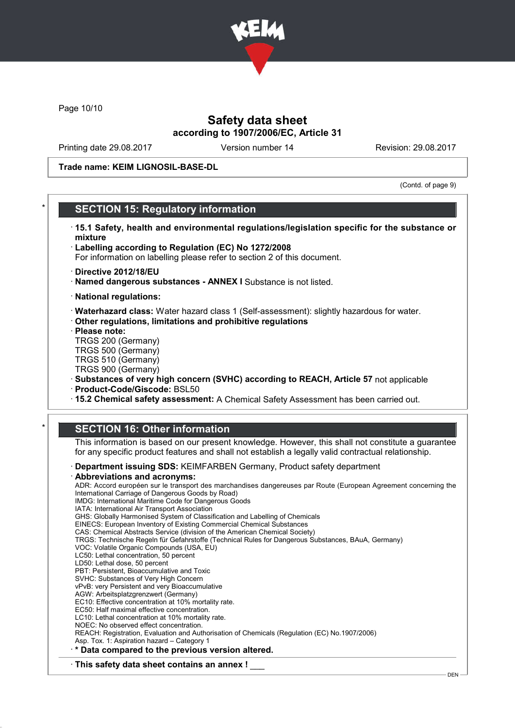

Page 10/10

## Safety data sheet according to 1907/2006/EC, Article 31

Printing date 29.08.2017 Version number 14 Revision: 29.08.2017

Trade name: KEIM LIGNOSIL-BASE-DL

(Contd. of page 9)

### **SECTION 15: Regulatory information**

- · 15.1 Safety, health and environmental regulations/legislation specific for the substance or mixture
- · Labelling according to Regulation (EC) No 1272/2008 For information on labelling please refer to section 2 of this document.
- · Directive 2012/18/EU
- · Named dangerous substances ANNEX I Substance is not listed.
- · National regulations:
- · Waterhazard class: Water hazard class 1 (Self-assessment): slightly hazardous for water.
- · Other regulations, limitations and prohibitive regulations
- · Please note:
- TRGS 200 (Germany) TRGS 500 (Germany)
- TRGS 510 (Germany)
- TRGS 900 (Germany)
- · Substances of very high concern (SVHC) according to REACH, Article 57 not applicable
- · Product-Code/Giscode: BSL50
- · 15.2 Chemical safety assessment: A Chemical Safety Assessment has been carried out.

### **SECTION 16: Other information**

This information is based on our present knowledge. However, this shall not constitute a guarantee for any specific product features and shall not establish a legally valid contractual relationship.

· Department issuing SDS: KEIMFARBEN Germany, Product safety department

Abbreviations and acronyms: ADR: Accord européen sur le transport des marchandises dangereuses par Route (European Agreement concerning the International Carriage of Dangerous Goods by Road) IMDG: International Maritime Code for Dangerous Goods IATA: International Air Transport Association GHS: Globally Harmonised System of Classification and Labelling of Chemicals EINECS: European Inventory of Existing Commercial Chemical Substances CAS: Chemical Abstracts Service (division of the American Chemical Society) TRGS: Technische Regeln für Gefahrstoffe (Technical Rules for Dangerous Substances, BAuA, Germany) VOC: Volatile Organic Compounds (USA, EU) LC50: Lethal concentration, 50 percent LD50: Lethal dose, 50 percent PBT: Persistent, Bioaccumulative and Toxic SVHC: Substances of Very High Concern vPvB: very Persistent and very Bioaccumulative AGW: Arbeitsplatzgrenzwert (Germany) EC10: Effective concentration at 10% mortality rate. EC50: Half maximal effective concentration. LC10: Lethal concentration at 10% mortality rate. NOEC: No observed effect concentration. REACH: Registration, Evaluation and Authorisation of Chemicals (Regulation (EC) No.1907/2006) Asp. Tox. 1: Aspiration hazard – Category 1 · \* Data compared to the previous version altered.  $\cdot$  This safety data sheet contains an annex !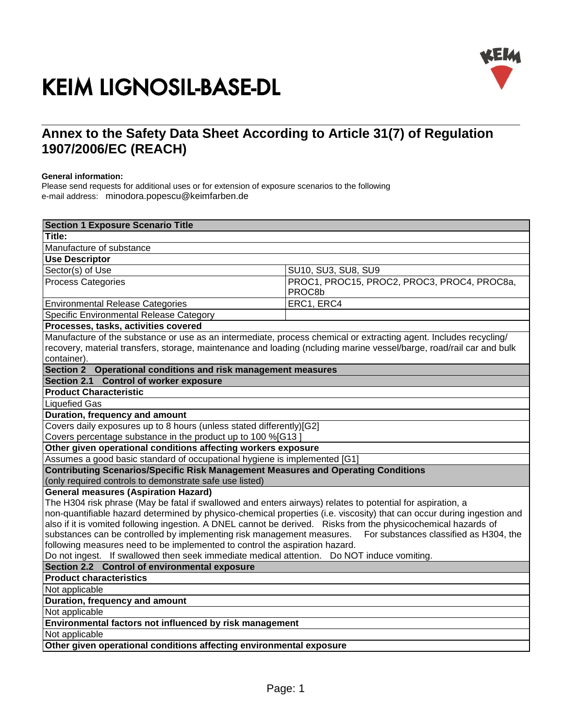

# \_\_\_\_\_\_\_\_\_\_\_\_\_\_\_\_\_\_\_\_\_\_\_\_\_\_\_\_\_\_\_\_\_\_\_\_\_\_\_\_\_\_\_\_\_\_\_\_\_\_\_\_\_\_\_\_\_\_\_\_\_\_\_\_\_\_\_\_\_\_\_\_\_\_\_\_\_\_\_\_\_\_\_\_\_\_\_\_\_\_\_\_\_\_\_\_\_\_\_\_\_\_\_\_\_\_\_\_\_\_\_\_\_\_\_\_\_ **Annex to the Safety Data Sheet According to Article 31(7) of Regulation 1907/2006/EC (REACH)**

#### **General information:**

Please send requests for additional uses or for extension of exposure scenarios to the following e-mail address: minodora.popescu@keimfarben.de

| <b>Section 1 Exposure Scenario Title</b>                                                                                                                                                                                                                                                                                                                                                                                                                                                                                               |                                                       |  |
|----------------------------------------------------------------------------------------------------------------------------------------------------------------------------------------------------------------------------------------------------------------------------------------------------------------------------------------------------------------------------------------------------------------------------------------------------------------------------------------------------------------------------------------|-------------------------------------------------------|--|
| Title:                                                                                                                                                                                                                                                                                                                                                                                                                                                                                                                                 |                                                       |  |
| Manufacture of substance                                                                                                                                                                                                                                                                                                                                                                                                                                                                                                               |                                                       |  |
| <b>Use Descriptor</b>                                                                                                                                                                                                                                                                                                                                                                                                                                                                                                                  |                                                       |  |
| Sector(s) of Use                                                                                                                                                                                                                                                                                                                                                                                                                                                                                                                       | SU10, SU3, SU8, SU9                                   |  |
| <b>Process Categories</b>                                                                                                                                                                                                                                                                                                                                                                                                                                                                                                              | PROC1, PROC15, PROC2, PROC3, PROC4, PROC8a,<br>PROC8b |  |
| <b>Environmental Release Categories</b>                                                                                                                                                                                                                                                                                                                                                                                                                                                                                                | ERC1, ERC4                                            |  |
| Specific Environmental Release Category                                                                                                                                                                                                                                                                                                                                                                                                                                                                                                |                                                       |  |
| Processes, tasks, activities covered                                                                                                                                                                                                                                                                                                                                                                                                                                                                                                   |                                                       |  |
| Manufacture of the substance or use as an intermediate, process chemical or extracting agent. Includes recycling/<br>recovery, material transfers, storage, maintenance and loading (ncluding marine vessel/barge, road/rail car and bulk<br>container).                                                                                                                                                                                                                                                                               |                                                       |  |
| Section 2 Operational conditions and risk management measures                                                                                                                                                                                                                                                                                                                                                                                                                                                                          |                                                       |  |
| Section 2.1 Control of worker exposure                                                                                                                                                                                                                                                                                                                                                                                                                                                                                                 |                                                       |  |
| <b>Product Characteristic</b>                                                                                                                                                                                                                                                                                                                                                                                                                                                                                                          |                                                       |  |
| <b>Liquefied Gas</b>                                                                                                                                                                                                                                                                                                                                                                                                                                                                                                                   |                                                       |  |
| Duration, frequency and amount                                                                                                                                                                                                                                                                                                                                                                                                                                                                                                         |                                                       |  |
| Covers daily exposures up to 8 hours (unless stated differently)[G2]                                                                                                                                                                                                                                                                                                                                                                                                                                                                   |                                                       |  |
| Covers percentage substance in the product up to 100 %[G13]                                                                                                                                                                                                                                                                                                                                                                                                                                                                            |                                                       |  |
| Other given operational conditions affecting workers exposure                                                                                                                                                                                                                                                                                                                                                                                                                                                                          |                                                       |  |
| Assumes a good basic standard of occupational hygiene is implemented [G1]<br><b>Contributing Scenarios/Specific Risk Management Measures and Operating Conditions</b>                                                                                                                                                                                                                                                                                                                                                                  |                                                       |  |
| (only required controls to demonstrate safe use listed)                                                                                                                                                                                                                                                                                                                                                                                                                                                                                |                                                       |  |
| <b>General measures (Aspiration Hazard)</b>                                                                                                                                                                                                                                                                                                                                                                                                                                                                                            |                                                       |  |
| The H304 risk phrase (May be fatal if swallowed and enters airways) relates to potential for aspiration, a                                                                                                                                                                                                                                                                                                                                                                                                                             |                                                       |  |
| non-quantifiable hazard determined by physico-chemical properties (i.e. viscosity) that can occur during ingestion and<br>also if it is vomited following ingestion. A DNEL cannot be derived. Risks from the physicochemical hazards of<br>substances can be controlled by implementing risk management measures. For substances classified as H304, the<br>following measures need to be implemented to control the aspiration hazard.<br>Do not ingest. If swallowed then seek immediate medical attention. Do NOT induce vomiting. |                                                       |  |
| Section 2.2 Control of environmental exposure                                                                                                                                                                                                                                                                                                                                                                                                                                                                                          |                                                       |  |
| <b>Product characteristics</b>                                                                                                                                                                                                                                                                                                                                                                                                                                                                                                         |                                                       |  |
| Not applicable                                                                                                                                                                                                                                                                                                                                                                                                                                                                                                                         |                                                       |  |
| Duration, frequency and amount                                                                                                                                                                                                                                                                                                                                                                                                                                                                                                         |                                                       |  |
| Not applicable                                                                                                                                                                                                                                                                                                                                                                                                                                                                                                                         |                                                       |  |
| Environmental factors not influenced by risk management                                                                                                                                                                                                                                                                                                                                                                                                                                                                                |                                                       |  |
| Not applicable                                                                                                                                                                                                                                                                                                                                                                                                                                                                                                                         |                                                       |  |
| Other given operational conditions affecting environmental exposure                                                                                                                                                                                                                                                                                                                                                                                                                                                                    |                                                       |  |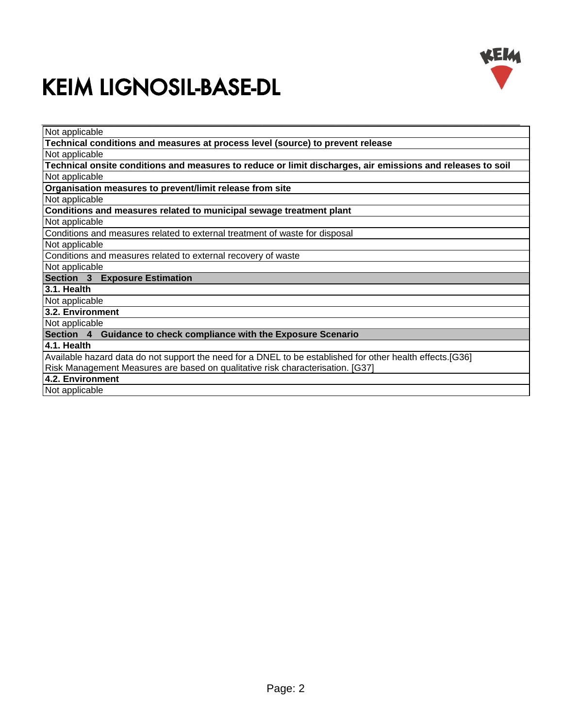

| Not applicable                                                                                             |  |  |
|------------------------------------------------------------------------------------------------------------|--|--|
| Technical conditions and measures at process level (source) to prevent release                             |  |  |
| Not applicable                                                                                             |  |  |
| Technical onsite conditions and measures to reduce or limit discharges, air emissions and releases to soil |  |  |
| Not applicable                                                                                             |  |  |
| Organisation measures to prevent/limit release from site                                                   |  |  |
| Not applicable                                                                                             |  |  |
| Conditions and measures related to municipal sewage treatment plant                                        |  |  |
| Not applicable                                                                                             |  |  |
| Conditions and measures related to external treatment of waste for disposal                                |  |  |
| Not applicable                                                                                             |  |  |
| Conditions and measures related to external recovery of waste                                              |  |  |
| Not applicable                                                                                             |  |  |
| Section 3 Exposure Estimation                                                                              |  |  |
| 3.1. Health                                                                                                |  |  |
| Not applicable                                                                                             |  |  |
| 3.2. Environment                                                                                           |  |  |
| Not applicable                                                                                             |  |  |
| Section 4 Guidance to check compliance with the Exposure Scenario                                          |  |  |
| 4.1. Health                                                                                                |  |  |
| Available hazard data do not support the need for a DNEL to be established for other health effects.[G36]  |  |  |
| Risk Management Measures are based on qualitative risk characterisation. [G37]                             |  |  |
| 4.2. Environment                                                                                           |  |  |
| Not applicable                                                                                             |  |  |
|                                                                                                            |  |  |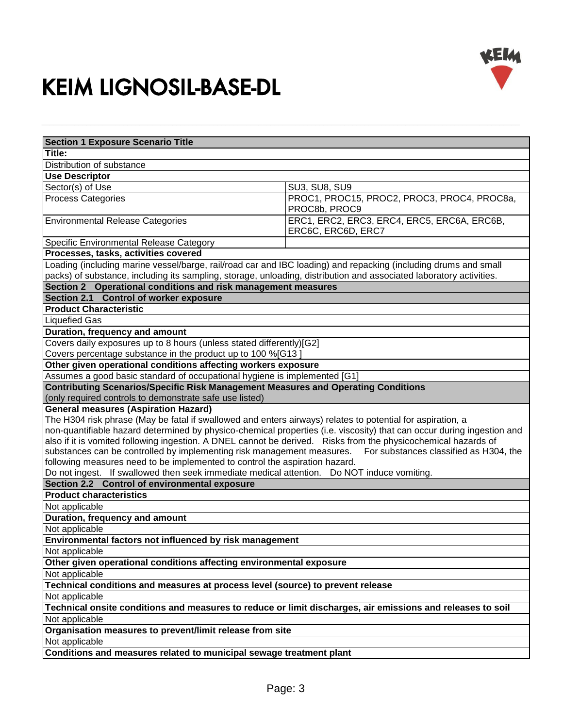



| <b>Section 1 Exposure Scenario Title</b>                                                                                                                                                                                               |                                                                   |  |
|----------------------------------------------------------------------------------------------------------------------------------------------------------------------------------------------------------------------------------------|-------------------------------------------------------------------|--|
| Title:                                                                                                                                                                                                                                 |                                                                   |  |
| Distribution of substance                                                                                                                                                                                                              |                                                                   |  |
| <b>Use Descriptor</b>                                                                                                                                                                                                                  |                                                                   |  |
| Sector(s) of Use                                                                                                                                                                                                                       | <b>SU3, SU8, SU9</b>                                              |  |
| <b>Process Categories</b>                                                                                                                                                                                                              | PROC1, PROC15, PROC2, PROC3, PROC4, PROC8a,                       |  |
|                                                                                                                                                                                                                                        | PROC8b, PROC9                                                     |  |
| <b>Environmental Release Categories</b>                                                                                                                                                                                                | ERC1, ERC2, ERC3, ERC4, ERC5, ERC6A, ERC6B,<br>ERC6C, ERC6D, ERC7 |  |
| Specific Environmental Release Category                                                                                                                                                                                                |                                                                   |  |
| Processes, tasks, activities covered                                                                                                                                                                                                   |                                                                   |  |
| Loading (including marine vessel/barge, rail/road car and IBC loading) and repacking (including drums and small<br>packs) of substance, including its sampling, storage, unloading, distribution and associated laboratory activities. |                                                                   |  |
| Section 2 Operational conditions and risk management measures                                                                                                                                                                          |                                                                   |  |
| Section 2.1 Control of worker exposure                                                                                                                                                                                                 |                                                                   |  |
| <b>Product Characteristic</b>                                                                                                                                                                                                          |                                                                   |  |
| <b>Liquefied Gas</b>                                                                                                                                                                                                                   |                                                                   |  |
| Duration, frequency and amount                                                                                                                                                                                                         |                                                                   |  |
| Covers daily exposures up to 8 hours (unless stated differently)[G2]                                                                                                                                                                   |                                                                   |  |
| Covers percentage substance in the product up to 100 %[G13]                                                                                                                                                                            |                                                                   |  |
| Other given operational conditions affecting workers exposure                                                                                                                                                                          |                                                                   |  |
| Assumes a good basic standard of occupational hygiene is implemented [G1]                                                                                                                                                              |                                                                   |  |
| <b>Contributing Scenarios/Specific Risk Management Measures and Operating Conditions</b>                                                                                                                                               |                                                                   |  |
| (only required controls to demonstrate safe use listed)                                                                                                                                                                                |                                                                   |  |
| <b>General measures (Aspiration Hazard)</b>                                                                                                                                                                                            |                                                                   |  |
| The H304 risk phrase (May be fatal if swallowed and enters airways) relates to potential for aspiration, a                                                                                                                             |                                                                   |  |
| non-quantifiable hazard determined by physico-chemical properties (i.e. viscosity) that can occur during ingestion and                                                                                                                 |                                                                   |  |
| also if it is vomited following ingestion. A DNEL cannot be derived. Risks from the physicochemical hazards of                                                                                                                         |                                                                   |  |
| substances can be controlled by implementing risk management measures. For substances classified as H304, the                                                                                                                          |                                                                   |  |
| following measures need to be implemented to control the aspiration hazard.                                                                                                                                                            |                                                                   |  |
| Do not ingest. If swallowed then seek immediate medical attention. Do NOT induce vomiting.                                                                                                                                             |                                                                   |  |
| Section 2.2 Control of environmental exposure                                                                                                                                                                                          |                                                                   |  |
| <b>Product characteristics</b>                                                                                                                                                                                                         |                                                                   |  |
| Not applicable                                                                                                                                                                                                                         |                                                                   |  |
| Duration, frequency and amount                                                                                                                                                                                                         |                                                                   |  |
| Not applicable                                                                                                                                                                                                                         |                                                                   |  |
| Environmental factors not influenced by risk management                                                                                                                                                                                |                                                                   |  |
| Not applicable                                                                                                                                                                                                                         |                                                                   |  |
| Other given operational conditions affecting environmental exposure                                                                                                                                                                    |                                                                   |  |
| Not applicable                                                                                                                                                                                                                         |                                                                   |  |
| Technical conditions and measures at process level (source) to prevent release                                                                                                                                                         |                                                                   |  |
| Not applicable                                                                                                                                                                                                                         |                                                                   |  |
| Technical onsite conditions and measures to reduce or limit discharges, air emissions and releases to soil                                                                                                                             |                                                                   |  |
| Not applicable                                                                                                                                                                                                                         |                                                                   |  |
| Organisation measures to prevent/limit release from site                                                                                                                                                                               |                                                                   |  |
| Not applicable                                                                                                                                                                                                                         |                                                                   |  |
| Conditions and measures related to municipal sewage treatment plant                                                                                                                                                                    |                                                                   |  |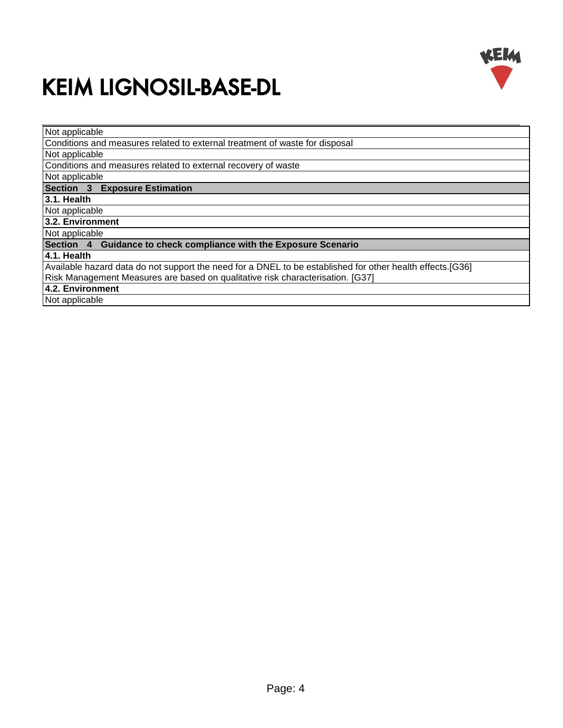

| Not applicable                                                                                            |  |  |
|-----------------------------------------------------------------------------------------------------------|--|--|
| Conditions and measures related to external treatment of waste for disposal                               |  |  |
| Not applicable                                                                                            |  |  |
| Conditions and measures related to external recovery of waste                                             |  |  |
| Not applicable                                                                                            |  |  |
| Section 3 Exposure Estimation                                                                             |  |  |
| 3.1. Health                                                                                               |  |  |
| Not applicable                                                                                            |  |  |
| 3.2. Environment                                                                                          |  |  |
| Not applicable                                                                                            |  |  |
| Section 4 Guidance to check compliance with the Exposure Scenario                                         |  |  |
| 4.1. Health                                                                                               |  |  |
| Available hazard data do not support the need for a DNEL to be established for other health effects.[G36] |  |  |
| Risk Management Measures are based on qualitative risk characterisation. [G37]                            |  |  |
| 4.2. Environment                                                                                          |  |  |
| Not applicable                                                                                            |  |  |
|                                                                                                           |  |  |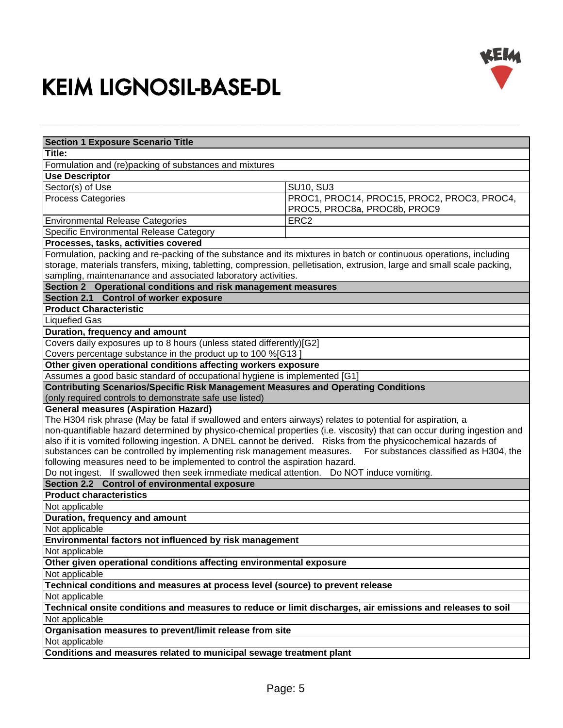

| <b>Section 1 Exposure Scenario Title</b><br>Title:<br>Formulation and (re)packing of substances and mixtures<br><b>Use Descriptor</b><br>Sector(s) of Use<br><b>SU10, SU3</b><br>PROC1, PROC14, PROC15, PROC2, PROC3, PROC4,<br><b>Process Categories</b><br>PROC5, PROC8a, PROC8b, PROC9<br>ERC <sub>2</sub><br>Specific Environmental Release Category<br>Processes, tasks, activities covered<br>Formulation, packing and re-packing of the substance and its mixtures in batch or continuous operations, including<br>storage, materials transfers, mixing, tabletting, compression, pelletisation, extrusion, large and small scale packing,<br>sampling, maintenanance and associated laboratory activities.<br>Section 2 Operational conditions and risk management measures<br>Section 2.1 Control of worker exposure<br><b>Product Characteristic</b><br><b>Liquefied Gas</b><br>Duration, frequency and amount<br>Covers daily exposures up to 8 hours (unless stated differently)[G2]<br>Covers percentage substance in the product up to 100 %[G13]<br>Other given operational conditions affecting workers exposure<br>Assumes a good basic standard of occupational hygiene is implemented [G1]<br><b>Contributing Scenarios/Specific Risk Management Measures and Operating Conditions</b><br>(only required controls to demonstrate safe use listed)<br><b>General measures (Aspiration Hazard)</b><br>The H304 risk phrase (May be fatal if swallowed and enters airways) relates to potential for aspiration, a<br>non-quantifiable hazard determined by physico-chemical properties (i.e. viscosity) that can occur during ingestion and<br>also if it is vomited following ingestion. A DNEL cannot be derived. Risks from the physicochemical hazards of<br>substances can be controlled by implementing risk management measures. For substances classified as H304, the<br>following measures need to be implemented to control the aspiration hazard.<br>Do not ingest. If swallowed then seek immediate medical attention. Do NOT induce vomiting.<br>Section 2.2 Control of environmental exposure<br><b>Product characteristics</b><br>Not applicable<br>Duration, frequency and amount |                                         |  |  |  |
|--------------------------------------------------------------------------------------------------------------------------------------------------------------------------------------------------------------------------------------------------------------------------------------------------------------------------------------------------------------------------------------------------------------------------------------------------------------------------------------------------------------------------------------------------------------------------------------------------------------------------------------------------------------------------------------------------------------------------------------------------------------------------------------------------------------------------------------------------------------------------------------------------------------------------------------------------------------------------------------------------------------------------------------------------------------------------------------------------------------------------------------------------------------------------------------------------------------------------------------------------------------------------------------------------------------------------------------------------------------------------------------------------------------------------------------------------------------------------------------------------------------------------------------------------------------------------------------------------------------------------------------------------------------------------------------------------------------------------------------------------------------------------------------------------------------------------------------------------------------------------------------------------------------------------------------------------------------------------------------------------------------------------------------------------------------------------------------------------------------------------------------------------------------------------------------------------------------------|-----------------------------------------|--|--|--|
|                                                                                                                                                                                                                                                                                                                                                                                                                                                                                                                                                                                                                                                                                                                                                                                                                                                                                                                                                                                                                                                                                                                                                                                                                                                                                                                                                                                                                                                                                                                                                                                                                                                                                                                                                                                                                                                                                                                                                                                                                                                                                                                                                                                                                    |                                         |  |  |  |
|                                                                                                                                                                                                                                                                                                                                                                                                                                                                                                                                                                                                                                                                                                                                                                                                                                                                                                                                                                                                                                                                                                                                                                                                                                                                                                                                                                                                                                                                                                                                                                                                                                                                                                                                                                                                                                                                                                                                                                                                                                                                                                                                                                                                                    |                                         |  |  |  |
|                                                                                                                                                                                                                                                                                                                                                                                                                                                                                                                                                                                                                                                                                                                                                                                                                                                                                                                                                                                                                                                                                                                                                                                                                                                                                                                                                                                                                                                                                                                                                                                                                                                                                                                                                                                                                                                                                                                                                                                                                                                                                                                                                                                                                    |                                         |  |  |  |
|                                                                                                                                                                                                                                                                                                                                                                                                                                                                                                                                                                                                                                                                                                                                                                                                                                                                                                                                                                                                                                                                                                                                                                                                                                                                                                                                                                                                                                                                                                                                                                                                                                                                                                                                                                                                                                                                                                                                                                                                                                                                                                                                                                                                                    |                                         |  |  |  |
|                                                                                                                                                                                                                                                                                                                                                                                                                                                                                                                                                                                                                                                                                                                                                                                                                                                                                                                                                                                                                                                                                                                                                                                                                                                                                                                                                                                                                                                                                                                                                                                                                                                                                                                                                                                                                                                                                                                                                                                                                                                                                                                                                                                                                    |                                         |  |  |  |
|                                                                                                                                                                                                                                                                                                                                                                                                                                                                                                                                                                                                                                                                                                                                                                                                                                                                                                                                                                                                                                                                                                                                                                                                                                                                                                                                                                                                                                                                                                                                                                                                                                                                                                                                                                                                                                                                                                                                                                                                                                                                                                                                                                                                                    |                                         |  |  |  |
|                                                                                                                                                                                                                                                                                                                                                                                                                                                                                                                                                                                                                                                                                                                                                                                                                                                                                                                                                                                                                                                                                                                                                                                                                                                                                                                                                                                                                                                                                                                                                                                                                                                                                                                                                                                                                                                                                                                                                                                                                                                                                                                                                                                                                    |                                         |  |  |  |
|                                                                                                                                                                                                                                                                                                                                                                                                                                                                                                                                                                                                                                                                                                                                                                                                                                                                                                                                                                                                                                                                                                                                                                                                                                                                                                                                                                                                                                                                                                                                                                                                                                                                                                                                                                                                                                                                                                                                                                                                                                                                                                                                                                                                                    | <b>Environmental Release Categories</b> |  |  |  |
|                                                                                                                                                                                                                                                                                                                                                                                                                                                                                                                                                                                                                                                                                                                                                                                                                                                                                                                                                                                                                                                                                                                                                                                                                                                                                                                                                                                                                                                                                                                                                                                                                                                                                                                                                                                                                                                                                                                                                                                                                                                                                                                                                                                                                    |                                         |  |  |  |
|                                                                                                                                                                                                                                                                                                                                                                                                                                                                                                                                                                                                                                                                                                                                                                                                                                                                                                                                                                                                                                                                                                                                                                                                                                                                                                                                                                                                                                                                                                                                                                                                                                                                                                                                                                                                                                                                                                                                                                                                                                                                                                                                                                                                                    |                                         |  |  |  |
|                                                                                                                                                                                                                                                                                                                                                                                                                                                                                                                                                                                                                                                                                                                                                                                                                                                                                                                                                                                                                                                                                                                                                                                                                                                                                                                                                                                                                                                                                                                                                                                                                                                                                                                                                                                                                                                                                                                                                                                                                                                                                                                                                                                                                    |                                         |  |  |  |
|                                                                                                                                                                                                                                                                                                                                                                                                                                                                                                                                                                                                                                                                                                                                                                                                                                                                                                                                                                                                                                                                                                                                                                                                                                                                                                                                                                                                                                                                                                                                                                                                                                                                                                                                                                                                                                                                                                                                                                                                                                                                                                                                                                                                                    |                                         |  |  |  |
|                                                                                                                                                                                                                                                                                                                                                                                                                                                                                                                                                                                                                                                                                                                                                                                                                                                                                                                                                                                                                                                                                                                                                                                                                                                                                                                                                                                                                                                                                                                                                                                                                                                                                                                                                                                                                                                                                                                                                                                                                                                                                                                                                                                                                    |                                         |  |  |  |
|                                                                                                                                                                                                                                                                                                                                                                                                                                                                                                                                                                                                                                                                                                                                                                                                                                                                                                                                                                                                                                                                                                                                                                                                                                                                                                                                                                                                                                                                                                                                                                                                                                                                                                                                                                                                                                                                                                                                                                                                                                                                                                                                                                                                                    |                                         |  |  |  |
|                                                                                                                                                                                                                                                                                                                                                                                                                                                                                                                                                                                                                                                                                                                                                                                                                                                                                                                                                                                                                                                                                                                                                                                                                                                                                                                                                                                                                                                                                                                                                                                                                                                                                                                                                                                                                                                                                                                                                                                                                                                                                                                                                                                                                    |                                         |  |  |  |
|                                                                                                                                                                                                                                                                                                                                                                                                                                                                                                                                                                                                                                                                                                                                                                                                                                                                                                                                                                                                                                                                                                                                                                                                                                                                                                                                                                                                                                                                                                                                                                                                                                                                                                                                                                                                                                                                                                                                                                                                                                                                                                                                                                                                                    |                                         |  |  |  |
|                                                                                                                                                                                                                                                                                                                                                                                                                                                                                                                                                                                                                                                                                                                                                                                                                                                                                                                                                                                                                                                                                                                                                                                                                                                                                                                                                                                                                                                                                                                                                                                                                                                                                                                                                                                                                                                                                                                                                                                                                                                                                                                                                                                                                    |                                         |  |  |  |
|                                                                                                                                                                                                                                                                                                                                                                                                                                                                                                                                                                                                                                                                                                                                                                                                                                                                                                                                                                                                                                                                                                                                                                                                                                                                                                                                                                                                                                                                                                                                                                                                                                                                                                                                                                                                                                                                                                                                                                                                                                                                                                                                                                                                                    |                                         |  |  |  |
|                                                                                                                                                                                                                                                                                                                                                                                                                                                                                                                                                                                                                                                                                                                                                                                                                                                                                                                                                                                                                                                                                                                                                                                                                                                                                                                                                                                                                                                                                                                                                                                                                                                                                                                                                                                                                                                                                                                                                                                                                                                                                                                                                                                                                    |                                         |  |  |  |
|                                                                                                                                                                                                                                                                                                                                                                                                                                                                                                                                                                                                                                                                                                                                                                                                                                                                                                                                                                                                                                                                                                                                                                                                                                                                                                                                                                                                                                                                                                                                                                                                                                                                                                                                                                                                                                                                                                                                                                                                                                                                                                                                                                                                                    |                                         |  |  |  |
|                                                                                                                                                                                                                                                                                                                                                                                                                                                                                                                                                                                                                                                                                                                                                                                                                                                                                                                                                                                                                                                                                                                                                                                                                                                                                                                                                                                                                                                                                                                                                                                                                                                                                                                                                                                                                                                                                                                                                                                                                                                                                                                                                                                                                    |                                         |  |  |  |
|                                                                                                                                                                                                                                                                                                                                                                                                                                                                                                                                                                                                                                                                                                                                                                                                                                                                                                                                                                                                                                                                                                                                                                                                                                                                                                                                                                                                                                                                                                                                                                                                                                                                                                                                                                                                                                                                                                                                                                                                                                                                                                                                                                                                                    |                                         |  |  |  |
|                                                                                                                                                                                                                                                                                                                                                                                                                                                                                                                                                                                                                                                                                                                                                                                                                                                                                                                                                                                                                                                                                                                                                                                                                                                                                                                                                                                                                                                                                                                                                                                                                                                                                                                                                                                                                                                                                                                                                                                                                                                                                                                                                                                                                    |                                         |  |  |  |
|                                                                                                                                                                                                                                                                                                                                                                                                                                                                                                                                                                                                                                                                                                                                                                                                                                                                                                                                                                                                                                                                                                                                                                                                                                                                                                                                                                                                                                                                                                                                                                                                                                                                                                                                                                                                                                                                                                                                                                                                                                                                                                                                                                                                                    |                                         |  |  |  |
|                                                                                                                                                                                                                                                                                                                                                                                                                                                                                                                                                                                                                                                                                                                                                                                                                                                                                                                                                                                                                                                                                                                                                                                                                                                                                                                                                                                                                                                                                                                                                                                                                                                                                                                                                                                                                                                                                                                                                                                                                                                                                                                                                                                                                    |                                         |  |  |  |
|                                                                                                                                                                                                                                                                                                                                                                                                                                                                                                                                                                                                                                                                                                                                                                                                                                                                                                                                                                                                                                                                                                                                                                                                                                                                                                                                                                                                                                                                                                                                                                                                                                                                                                                                                                                                                                                                                                                                                                                                                                                                                                                                                                                                                    |                                         |  |  |  |
|                                                                                                                                                                                                                                                                                                                                                                                                                                                                                                                                                                                                                                                                                                                                                                                                                                                                                                                                                                                                                                                                                                                                                                                                                                                                                                                                                                                                                                                                                                                                                                                                                                                                                                                                                                                                                                                                                                                                                                                                                                                                                                                                                                                                                    |                                         |  |  |  |
|                                                                                                                                                                                                                                                                                                                                                                                                                                                                                                                                                                                                                                                                                                                                                                                                                                                                                                                                                                                                                                                                                                                                                                                                                                                                                                                                                                                                                                                                                                                                                                                                                                                                                                                                                                                                                                                                                                                                                                                                                                                                                                                                                                                                                    |                                         |  |  |  |
|                                                                                                                                                                                                                                                                                                                                                                                                                                                                                                                                                                                                                                                                                                                                                                                                                                                                                                                                                                                                                                                                                                                                                                                                                                                                                                                                                                                                                                                                                                                                                                                                                                                                                                                                                                                                                                                                                                                                                                                                                                                                                                                                                                                                                    |                                         |  |  |  |
|                                                                                                                                                                                                                                                                                                                                                                                                                                                                                                                                                                                                                                                                                                                                                                                                                                                                                                                                                                                                                                                                                                                                                                                                                                                                                                                                                                                                                                                                                                                                                                                                                                                                                                                                                                                                                                                                                                                                                                                                                                                                                                                                                                                                                    |                                         |  |  |  |
|                                                                                                                                                                                                                                                                                                                                                                                                                                                                                                                                                                                                                                                                                                                                                                                                                                                                                                                                                                                                                                                                                                                                                                                                                                                                                                                                                                                                                                                                                                                                                                                                                                                                                                                                                                                                                                                                                                                                                                                                                                                                                                                                                                                                                    |                                         |  |  |  |
|                                                                                                                                                                                                                                                                                                                                                                                                                                                                                                                                                                                                                                                                                                                                                                                                                                                                                                                                                                                                                                                                                                                                                                                                                                                                                                                                                                                                                                                                                                                                                                                                                                                                                                                                                                                                                                                                                                                                                                                                                                                                                                                                                                                                                    |                                         |  |  |  |
|                                                                                                                                                                                                                                                                                                                                                                                                                                                                                                                                                                                                                                                                                                                                                                                                                                                                                                                                                                                                                                                                                                                                                                                                                                                                                                                                                                                                                                                                                                                                                                                                                                                                                                                                                                                                                                                                                                                                                                                                                                                                                                                                                                                                                    |                                         |  |  |  |
|                                                                                                                                                                                                                                                                                                                                                                                                                                                                                                                                                                                                                                                                                                                                                                                                                                                                                                                                                                                                                                                                                                                                                                                                                                                                                                                                                                                                                                                                                                                                                                                                                                                                                                                                                                                                                                                                                                                                                                                                                                                                                                                                                                                                                    |                                         |  |  |  |
|                                                                                                                                                                                                                                                                                                                                                                                                                                                                                                                                                                                                                                                                                                                                                                                                                                                                                                                                                                                                                                                                                                                                                                                                                                                                                                                                                                                                                                                                                                                                                                                                                                                                                                                                                                                                                                                                                                                                                                                                                                                                                                                                                                                                                    |                                         |  |  |  |
|                                                                                                                                                                                                                                                                                                                                                                                                                                                                                                                                                                                                                                                                                                                                                                                                                                                                                                                                                                                                                                                                                                                                                                                                                                                                                                                                                                                                                                                                                                                                                                                                                                                                                                                                                                                                                                                                                                                                                                                                                                                                                                                                                                                                                    |                                         |  |  |  |
| Not applicable                                                                                                                                                                                                                                                                                                                                                                                                                                                                                                                                                                                                                                                                                                                                                                                                                                                                                                                                                                                                                                                                                                                                                                                                                                                                                                                                                                                                                                                                                                                                                                                                                                                                                                                                                                                                                                                                                                                                                                                                                                                                                                                                                                                                     |                                         |  |  |  |
| Environmental factors not influenced by risk management                                                                                                                                                                                                                                                                                                                                                                                                                                                                                                                                                                                                                                                                                                                                                                                                                                                                                                                                                                                                                                                                                                                                                                                                                                                                                                                                                                                                                                                                                                                                                                                                                                                                                                                                                                                                                                                                                                                                                                                                                                                                                                                                                            |                                         |  |  |  |
| Not applicable                                                                                                                                                                                                                                                                                                                                                                                                                                                                                                                                                                                                                                                                                                                                                                                                                                                                                                                                                                                                                                                                                                                                                                                                                                                                                                                                                                                                                                                                                                                                                                                                                                                                                                                                                                                                                                                                                                                                                                                                                                                                                                                                                                                                     |                                         |  |  |  |
| Other given operational conditions affecting environmental exposure                                                                                                                                                                                                                                                                                                                                                                                                                                                                                                                                                                                                                                                                                                                                                                                                                                                                                                                                                                                                                                                                                                                                                                                                                                                                                                                                                                                                                                                                                                                                                                                                                                                                                                                                                                                                                                                                                                                                                                                                                                                                                                                                                |                                         |  |  |  |
| Not applicable                                                                                                                                                                                                                                                                                                                                                                                                                                                                                                                                                                                                                                                                                                                                                                                                                                                                                                                                                                                                                                                                                                                                                                                                                                                                                                                                                                                                                                                                                                                                                                                                                                                                                                                                                                                                                                                                                                                                                                                                                                                                                                                                                                                                     |                                         |  |  |  |
| Technical conditions and measures at process level (source) to prevent release                                                                                                                                                                                                                                                                                                                                                                                                                                                                                                                                                                                                                                                                                                                                                                                                                                                                                                                                                                                                                                                                                                                                                                                                                                                                                                                                                                                                                                                                                                                                                                                                                                                                                                                                                                                                                                                                                                                                                                                                                                                                                                                                     |                                         |  |  |  |
| Not applicable                                                                                                                                                                                                                                                                                                                                                                                                                                                                                                                                                                                                                                                                                                                                                                                                                                                                                                                                                                                                                                                                                                                                                                                                                                                                                                                                                                                                                                                                                                                                                                                                                                                                                                                                                                                                                                                                                                                                                                                                                                                                                                                                                                                                     |                                         |  |  |  |
| Technical onsite conditions and measures to reduce or limit discharges, air emissions and releases to soil                                                                                                                                                                                                                                                                                                                                                                                                                                                                                                                                                                                                                                                                                                                                                                                                                                                                                                                                                                                                                                                                                                                                                                                                                                                                                                                                                                                                                                                                                                                                                                                                                                                                                                                                                                                                                                                                                                                                                                                                                                                                                                         |                                         |  |  |  |
| Not applicable                                                                                                                                                                                                                                                                                                                                                                                                                                                                                                                                                                                                                                                                                                                                                                                                                                                                                                                                                                                                                                                                                                                                                                                                                                                                                                                                                                                                                                                                                                                                                                                                                                                                                                                                                                                                                                                                                                                                                                                                                                                                                                                                                                                                     |                                         |  |  |  |
| Organisation measures to prevent/limit release from site                                                                                                                                                                                                                                                                                                                                                                                                                                                                                                                                                                                                                                                                                                                                                                                                                                                                                                                                                                                                                                                                                                                                                                                                                                                                                                                                                                                                                                                                                                                                                                                                                                                                                                                                                                                                                                                                                                                                                                                                                                                                                                                                                           |                                         |  |  |  |
| Not applicable                                                                                                                                                                                                                                                                                                                                                                                                                                                                                                                                                                                                                                                                                                                                                                                                                                                                                                                                                                                                                                                                                                                                                                                                                                                                                                                                                                                                                                                                                                                                                                                                                                                                                                                                                                                                                                                                                                                                                                                                                                                                                                                                                                                                     |                                         |  |  |  |
| Conditions and measures related to municipal sewage treatment plant                                                                                                                                                                                                                                                                                                                                                                                                                                                                                                                                                                                                                                                                                                                                                                                                                                                                                                                                                                                                                                                                                                                                                                                                                                                                                                                                                                                                                                                                                                                                                                                                                                                                                                                                                                                                                                                                                                                                                                                                                                                                                                                                                |                                         |  |  |  |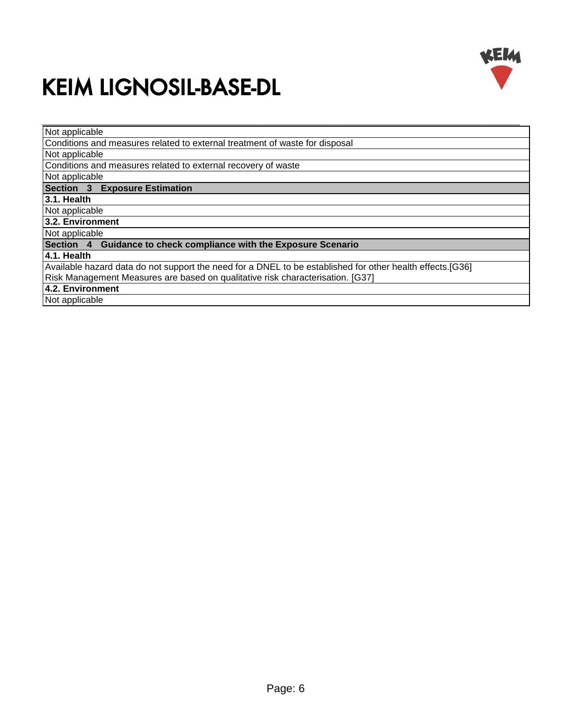

| Not applicable                                                                                            |
|-----------------------------------------------------------------------------------------------------------|
| Conditions and measures related to external treatment of waste for disposal                               |
| Not applicable                                                                                            |
| Conditions and measures related to external recovery of waste                                             |
| Not applicable                                                                                            |
| <b>Section 3 Exposure Estimation</b>                                                                      |
| 3.1. Health                                                                                               |
| Not applicable                                                                                            |
| 3.2. Environment                                                                                          |
| Not applicable                                                                                            |
| Section 4 Guidance to check compliance with the Exposure Scenario                                         |
| 4.1. Health                                                                                               |
| Available hazard data do not support the need for a DNEL to be established for other health effects.[G36] |
| Risk Management Measures are based on qualitative risk characterisation. [G37]                            |
| 4.2. Environment                                                                                          |
| Not applicable                                                                                            |
|                                                                                                           |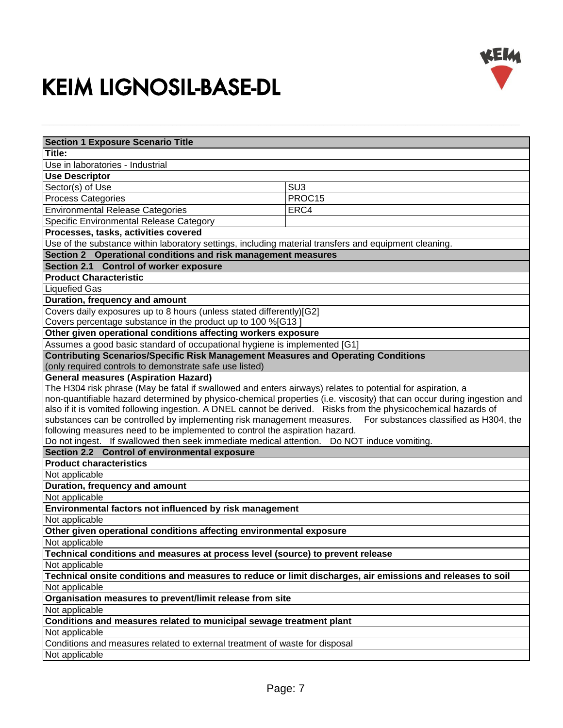

| <b>Section 1 Exposure Scenario Title</b>                                                                               |                                        |  |
|------------------------------------------------------------------------------------------------------------------------|----------------------------------------|--|
| Title:                                                                                                                 |                                        |  |
| Use in laboratories - Industrial                                                                                       |                                        |  |
| <b>Use Descriptor</b>                                                                                                  |                                        |  |
| Sector(s) of Use                                                                                                       | SU <sub>3</sub>                        |  |
| <b>Process Categories</b>                                                                                              | PROC15                                 |  |
| <b>Environmental Release Categories</b>                                                                                | ERC4                                   |  |
| Specific Environmental Release Category                                                                                |                                        |  |
| Processes, tasks, activities covered                                                                                   |                                        |  |
| Use of the substance within laboratory settings, including material transfers and equipment cleaning.                  |                                        |  |
| Section 2 Operational conditions and risk management measures                                                          |                                        |  |
| Section 2.1 Control of worker exposure                                                                                 |                                        |  |
| <b>Product Characteristic</b>                                                                                          |                                        |  |
| <b>Liquefied Gas</b>                                                                                                   |                                        |  |
| Duration, frequency and amount                                                                                         |                                        |  |
| Covers daily exposures up to 8 hours (unless stated differently)[G2]                                                   |                                        |  |
| Covers percentage substance in the product up to 100 %[G13]                                                            |                                        |  |
| Other given operational conditions affecting workers exposure                                                          |                                        |  |
| Assumes a good basic standard of occupational hygiene is implemented [G1]                                              |                                        |  |
| <b>Contributing Scenarios/Specific Risk Management Measures and Operating Conditions</b>                               |                                        |  |
| (only required controls to demonstrate safe use listed)                                                                |                                        |  |
| <b>General measures (Aspiration Hazard)</b>                                                                            |                                        |  |
| The H304 risk phrase (May be fatal if swallowed and enters airways) relates to potential for aspiration, a             |                                        |  |
| non-quantifiable hazard determined by physico-chemical properties (i.e. viscosity) that can occur during ingestion and |                                        |  |
| also if it is vomited following ingestion. A DNEL cannot be derived. Risks from the physicochemical hazards of         |                                        |  |
| substances can be controlled by implementing risk management measures.                                                 | For substances classified as H304, the |  |
| following measures need to be implemented to control the aspiration hazard.                                            |                                        |  |
| Do not ingest. If swallowed then seek immediate medical attention. Do NOT induce vomiting.                             |                                        |  |
| Section 2.2 Control of environmental exposure                                                                          |                                        |  |
| <b>Product characteristics</b>                                                                                         |                                        |  |
| Not applicable                                                                                                         |                                        |  |
| Duration, frequency and amount                                                                                         |                                        |  |
| Not applicable                                                                                                         |                                        |  |
| Environmental factors not influenced by risk management                                                                |                                        |  |
| Not applicable                                                                                                         |                                        |  |
| Other given operational conditions affecting environmental exposure                                                    |                                        |  |
| Not applicable                                                                                                         |                                        |  |
| Technical conditions and measures at process level (source) to prevent release                                         |                                        |  |
| Not applicable                                                                                                         |                                        |  |
| Technical onsite conditions and measures to reduce or limit discharges, air emissions and releases to soil             |                                        |  |
| Not applicable                                                                                                         |                                        |  |
| Organisation measures to prevent/limit release from site                                                               |                                        |  |
| Not applicable                                                                                                         |                                        |  |
| Conditions and measures related to municipal sewage treatment plant                                                    |                                        |  |
| Not applicable                                                                                                         |                                        |  |
| Conditions and measures related to external treatment of waste for disposal                                            |                                        |  |
| Not applicable                                                                                                         |                                        |  |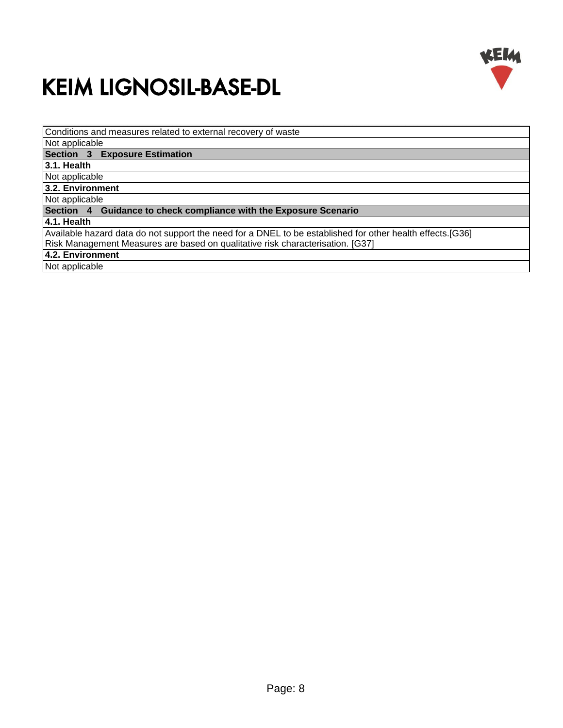

Conditions and measures related to external recovery of waste

Not applicable

**Section 3 Exposure Estimation**

**3.1. Health**

Not applicable

**3.2. Environment**

Not applicable

**Section 4 Guidance to check compliance with the Exposure Scenario**

#### **4.1. Health**

Available hazard data do not support the need for a DNEL to be established for other health effects.[G36]

\_\_\_\_\_\_\_\_\_\_\_\_\_\_\_\_\_\_\_\_\_\_\_\_\_\_\_\_\_\_\_\_\_\_\_\_\_\_\_\_\_\_\_\_\_\_\_\_\_\_\_\_\_\_\_\_\_\_\_\_\_\_\_\_\_\_\_\_\_\_\_\_\_\_\_\_\_\_\_\_\_\_\_\_\_\_\_\_\_\_\_\_\_\_\_\_\_\_\_\_\_\_\_\_\_\_\_\_\_\_\_\_\_\_\_\_\_

Risk Management Measures are based on qualitative risk characterisation. [G37]

**4.2. Environment**

Not applicable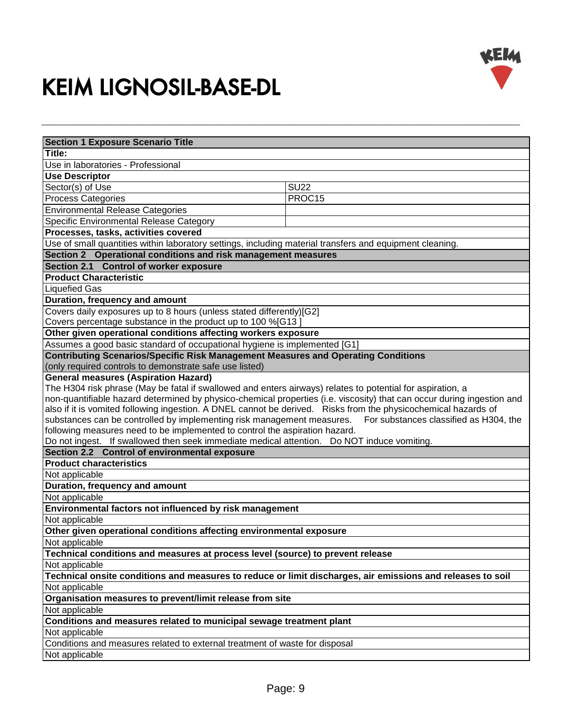

| <b>Section 1 Exposure Scenario Title</b>                                                                               |             |
|------------------------------------------------------------------------------------------------------------------------|-------------|
| Title:                                                                                                                 |             |
| Use in laboratories - Professional                                                                                     |             |
| <b>Use Descriptor</b>                                                                                                  |             |
| Sector(s) of Use                                                                                                       | <b>SU22</b> |
| <b>Process Categories</b>                                                                                              | PROC15      |
| <b>Environmental Release Categories</b>                                                                                |             |
| Specific Environmental Release Category                                                                                |             |
| Processes, tasks, activities covered                                                                                   |             |
| Use of small quantities within laboratory settings, including material transfers and equipment cleaning.               |             |
| Section 2 Operational conditions and risk management measures                                                          |             |
| Section 2.1 Control of worker exposure                                                                                 |             |
| <b>Product Characteristic</b>                                                                                          |             |
| <b>Liquefied Gas</b>                                                                                                   |             |
| Duration, frequency and amount                                                                                         |             |
| Covers daily exposures up to 8 hours (unless stated differently)[G2]                                                   |             |
| Covers percentage substance in the product up to 100 %[G13]                                                            |             |
| Other given operational conditions affecting workers exposure                                                          |             |
| Assumes a good basic standard of occupational hygiene is implemented [G1]                                              |             |
| <b>Contributing Scenarios/Specific Risk Management Measures and Operating Conditions</b>                               |             |
| (only required controls to demonstrate safe use listed)                                                                |             |
| <b>General measures (Aspiration Hazard)</b>                                                                            |             |
| The H304 risk phrase (May be fatal if swallowed and enters airways) relates to potential for aspiration, a             |             |
| non-quantifiable hazard determined by physico-chemical properties (i.e. viscosity) that can occur during ingestion and |             |
| also if it is vomited following ingestion. A DNEL cannot be derived. Risks from the physicochemical hazards of         |             |
| substances can be controlled by implementing risk management measures.<br>For substances classified as H304, the       |             |
| following measures need to be implemented to control the aspiration hazard.                                            |             |
| Do not ingest. If swallowed then seek immediate medical attention. Do NOT induce vomiting.                             |             |
| Section 2.2 Control of environmental exposure                                                                          |             |
| <b>Product characteristics</b>                                                                                         |             |
| Not applicable                                                                                                         |             |
| Duration, frequency and amount                                                                                         |             |
| Not applicable                                                                                                         |             |
| Environmental factors not influenced by risk management                                                                |             |
| Not applicable                                                                                                         |             |
| Other given operational conditions affecting environmental exposure                                                    |             |
| Not applicable                                                                                                         |             |
| Technical conditions and measures at process level (source) to prevent release                                         |             |
|                                                                                                                        |             |
| Not applicable                                                                                                         |             |
| Technical onsite conditions and measures to reduce or limit discharges, air emissions and releases to soil             |             |
| Not applicable                                                                                                         |             |
| Organisation measures to prevent/limit release from site                                                               |             |
| Not applicable                                                                                                         |             |
| Conditions and measures related to municipal sewage treatment plant                                                    |             |
| Not applicable                                                                                                         |             |
| Conditions and measures related to external treatment of waste for disposal                                            |             |
| Not applicable                                                                                                         |             |